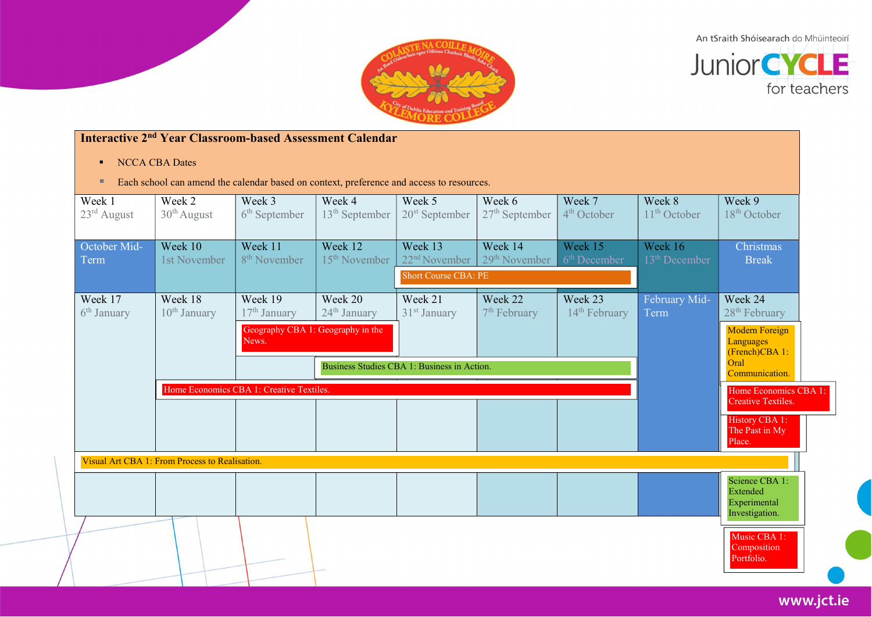

An tSraith Shóisearach do Mhúinteoirí **Junior CYCLE** for teachers

## Interactive 2nd Year Classroom-based Assessment Calendar

- **NCCA CBA Dates**
- **Each school can amend the calendar based on context, preference and access to resources.**

| Each school can amend the calendar based on context, preference and access to resources. |                                                |                                            |                                             |                                                                                                                   |                                      |                                      |                                      |                                                              |
|------------------------------------------------------------------------------------------|------------------------------------------------|--------------------------------------------|---------------------------------------------|-------------------------------------------------------------------------------------------------------------------|--------------------------------------|--------------------------------------|--------------------------------------|--------------------------------------------------------------|
| Week 1<br>23rd August                                                                    | Week 2<br>$30th$ August                        | Week 3<br>$6th$ September                  | Week 4<br>13 <sup>th</sup> September        | Week 5<br>$20st$ September                                                                                        | Week 6<br>27 <sup>th</sup> September | Week 7<br>4 <sup>th</sup> October    | Week 8<br>11 <sup>th</sup> October   | Week 9<br>18 <sup>th</sup> October                           |
|                                                                                          |                                                |                                            |                                             |                                                                                                                   |                                      |                                      |                                      |                                                              |
| October Mid-                                                                             | Week 10                                        | Week 11<br>8 <sup>th</sup> November        | Week 12<br>15 <sup>th</sup> November        | Week 13                                                                                                           | Week 14                              | Week 15                              | Week 16<br>13 <sup>th</sup> December | Christmas                                                    |
| Term                                                                                     | 1st November                                   |                                            |                                             | 22 <sup>nd</sup> November<br>29 <sup>th</sup> November<br>6 <sup>th</sup> December<br><b>Short Course CBA: PE</b> |                                      |                                      |                                      | <b>Break</b>                                                 |
|                                                                                          |                                                |                                            |                                             |                                                                                                                   |                                      |                                      |                                      |                                                              |
| Week 17<br>$6th$ January                                                                 | Week 18<br>$10th$ January                      | Week 19<br>17 <sup>th</sup> January        | Week 20<br>$24th$ January                   | Week 21<br>31 <sup>st</sup> January                                                                               | Week 22<br>$7th$ February            | Week 23<br>14 <sup>th</sup> February | February Mid-<br>Term                | Week 24<br>28 <sup>th</sup> February                         |
|                                                                                          |                                                | Geography CBA 1: Geography in the<br>News. |                                             |                                                                                                                   |                                      |                                      |                                      | <b>Modern Foreign</b><br>Languages<br>(French)CBA 1:         |
|                                                                                          |                                                |                                            | Business Studies CBA 1: Business in Action. |                                                                                                                   |                                      |                                      |                                      | Oral<br>Communication.                                       |
|                                                                                          | Home Economics CBA 1: Creative Textiles.       |                                            |                                             |                                                                                                                   |                                      |                                      |                                      | Home Economics CBA 1:<br>Creative Textiles.                  |
|                                                                                          |                                                |                                            |                                             |                                                                                                                   |                                      |                                      |                                      | History CBA 1:                                               |
|                                                                                          |                                                |                                            |                                             |                                                                                                                   |                                      |                                      |                                      | The Past in My<br>Place.                                     |
|                                                                                          | Visual Art CBA 1: From Process to Realisation. |                                            |                                             |                                                                                                                   |                                      |                                      |                                      |                                                              |
|                                                                                          |                                                |                                            |                                             |                                                                                                                   |                                      |                                      |                                      | Science CBA 1:<br>Extended<br>Experimental<br>Investigation. |
|                                                                                          |                                                |                                            |                                             |                                                                                                                   |                                      |                                      |                                      | Music CBA 1:                                                 |
|                                                                                          |                                                |                                            |                                             |                                                                                                                   |                                      |                                      |                                      | Composition<br>Portfolio.                                    |
|                                                                                          |                                                |                                            |                                             |                                                                                                                   |                                      |                                      |                                      |                                                              |

www.jct.ie